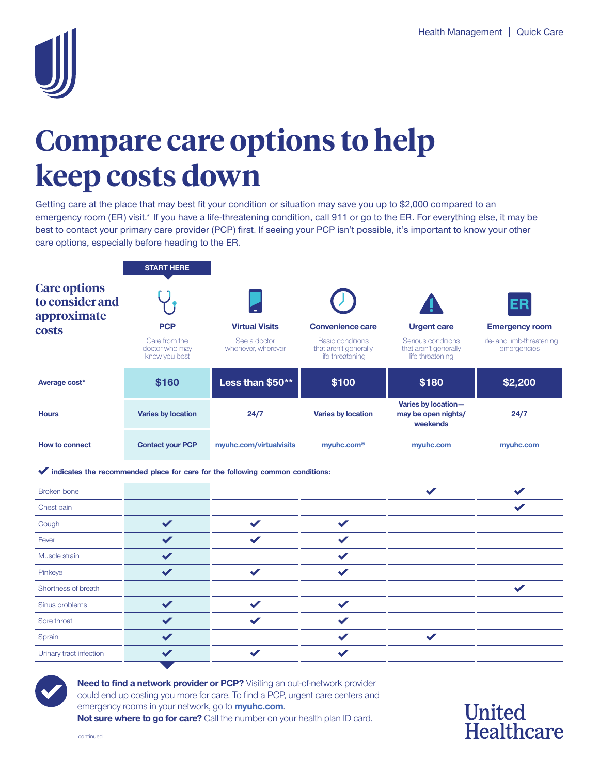

## **Compare care options to help keep costs down**

Getting care at the place that may best fit your condition or situation may save you up to \$2,000 compared to an emergency room (ER) visit.\* If you have a life-threatening condition, call 911 or go to the ER. For everything else, it may be best to contact your primary care provider (PCP) first. If seeing your PCP isn't possible, it's important to know your other care options, especially before heading to the ER.

|                                                                | <b>START HERE</b>                                              |                                                                               |                                                                                          |                                                                                       |                                                                          |
|----------------------------------------------------------------|----------------------------------------------------------------|-------------------------------------------------------------------------------|------------------------------------------------------------------------------------------|---------------------------------------------------------------------------------------|--------------------------------------------------------------------------|
| <b>Care options</b><br>to consider and<br>approximate<br>costs | <b>PCP</b><br>Care from the<br>doctor who may<br>know you best | <b>Virtual Visits</b><br>See a doctor<br>whenever, wherever                   | Convenience care<br><b>Basic conditions</b><br>that aren't generally<br>life-threatening | <b>Urgent care</b><br>Serious conditions<br>that aren't generally<br>life-threatening | ER<br><b>Emergency room</b><br>Life- and limb-threatening<br>emergencies |
| Average cost*                                                  | \$160                                                          | Less than \$50**                                                              | \$100                                                                                    | \$180                                                                                 | \$2,200                                                                  |
| <b>Hours</b>                                                   | <b>Varies by location</b>                                      | 24/7                                                                          | <b>Varies by location</b>                                                                | Varies by location-<br>may be open nights/<br>weekends                                | 24/7                                                                     |
| <b>How to connect</b>                                          | <b>Contact your PCP</b>                                        | myuhc.com/virtualvisits                                                       | myuhc.com <sup>®</sup>                                                                   | myuhc.com                                                                             | myuhc.com                                                                |
|                                                                |                                                                | indicates the recommended place for care for the following common conditions: |                                                                                          |                                                                                       |                                                                          |
| <b>Broken</b> bone                                             |                                                                |                                                                               |                                                                                          | $\checkmark$                                                                          | $\checkmark$                                                             |
| Chest pain                                                     |                                                                |                                                                               |                                                                                          |                                                                                       | ✔                                                                        |
| Cough                                                          | $\checkmark$                                                   | $\blacktriangledown$                                                          | $\checkmark$                                                                             |                                                                                       |                                                                          |
| Fever                                                          | $\checkmark$                                                   | $\checkmark$                                                                  | $\sqrt{}$                                                                                |                                                                                       |                                                                          |
| Muscle strain                                                  | $\checkmark$                                                   |                                                                               | $\checkmark$                                                                             |                                                                                       |                                                                          |
| Pinkeye                                                        | $\checkmark$                                                   | $\checkmark$                                                                  | $\checkmark$                                                                             |                                                                                       |                                                                          |
| Shortness of breath                                            |                                                                |                                                                               |                                                                                          |                                                                                       | $\checkmark$                                                             |
| Sinus problems                                                 | $\checkmark$                                                   | $\blacktriangledown$                                                          | $\checkmark$                                                                             |                                                                                       |                                                                          |
| Sore throat                                                    | $\checkmark$                                                   | $\checkmark$                                                                  | $\checkmark$                                                                             |                                                                                       |                                                                          |
| Sprain                                                         | $\checkmark$                                                   |                                                                               | $\checkmark$                                                                             |                                                                                       |                                                                          |
| Urinary tract infection                                        | $\checkmark$                                                   | ✔                                                                             | $\checkmark$                                                                             |                                                                                       |                                                                          |



 emergency rooms in your network, go to **[myuhc.com](http://myuhc.com)**. **Need to find a network provider or PCP?** Visiting an out-of-network provider could end up costing you more for care. To find a PCP, urgent care centers and **Not sure where to go for care?** Call the number on your health plan ID card.

**United Healthcare** 

continued